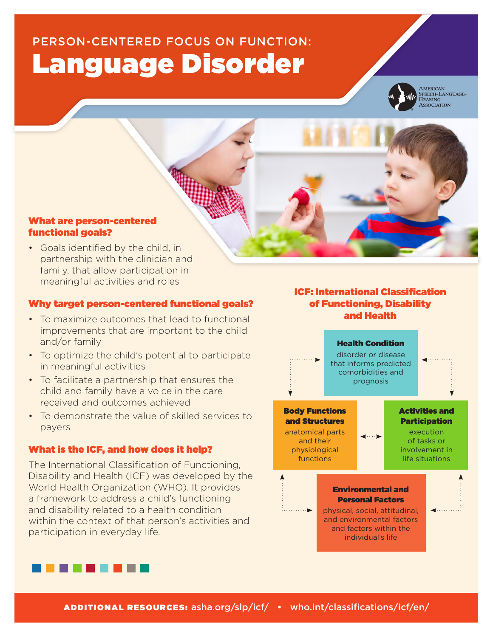# PERSON-CENTERED FOCUS ON FUNCTION: Language Disorder



AMERICAN<br>SPEECH-LANGUAGE-HEARING<br>ASSOCIATION

### What are person-centered functional goals?

• Goals identified by the child, in partnership with the clinician and family, that allow participation in meaningful activities and roles

#### Why target person-centered functional goals?

- To maximize outcomes that lead to functional improvements that are important to the child and/or family
- To optimize the child's potential to participate in meaningful activities
- • To facilitate a partnership that ensures the child and family have a voice in the care received and outcomes achieved
- To demonstrate the value of skilled services to payers

## What is the ICF, and how does it help?

The International Classification of Functioning, Disability and Health (ICF) was developed by the World Health Organization (WHO). It provides a framework to address a child's functioning and disability related to a health condition within the context of that person's activities and participation in everyday life.

# ICF: International Classification of Functioning, Disability and Health